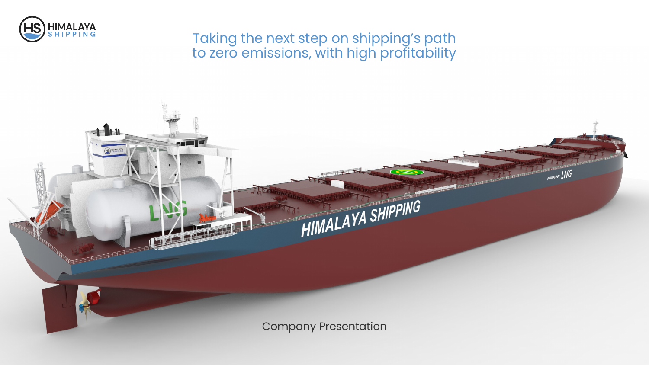

# Taking the next step on shipping's path to zero emissions, with high profitability

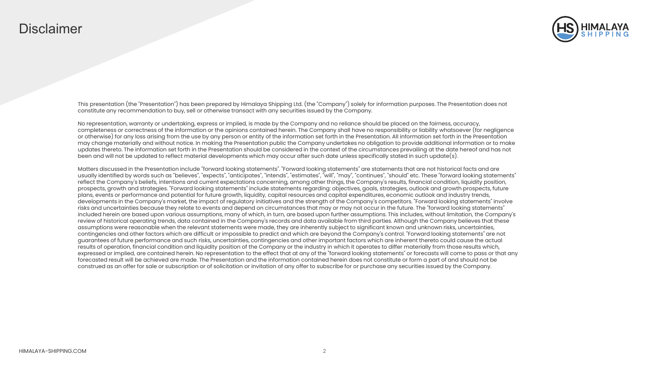## **Disclaimer**



This presentation (the "Presentation") has been prepared by Himalaya Shipping Ltd. (the "Company") solely for information purposes. The Presentation does not constitute any recommendation to buy, sell or otherwise transact with any securities issued by the Company.

No representation, warranty or undertaking, express or implied, is made by the Company and no reliance should be placed on the fairness, accuracy, completeness or correctness of the information or the opinions contained herein. The Company shall have no responsibility or liability whatsoever (for negligence or otherwise) for any loss arising from the use by any person or entity of the information set forth in the Presentation. All information set forth in the Presentation may change materially and without notice. In making the Presentation public the Company undertakes no obligation to provide additional information or to make updates thereto. The information set forth in the Presentation should be considered in the context of the circumstances prevailing at the date hereof and has not been and will not be updated to reflect material developments which may occur after such date unless specifically stated in such update(s).

Matters discussed in the Presentation include "forward looking statements". "Forward looking statements" are statements that are not historical facts and are usually identified by words such as "believes", "expects", "anticipates", "intends", "estimates", "will", "may", "continues", "should" etc. These "forward looking statements" reflect the Company's beliefs, intentions and current expectations concerning, among other things, the Company's results, financial condition, liquidity position, prospects, growth and strategies. "Forward looking statements" include statements regarding: objectives, goals, strategies, outlook and growth prospects, future plans, events or performance and potential for future growth, liquidity, capital resources and capital expenditures, economic outlook and industry trends, developments in the Company's market, the impact of regulatory initiatives and the strength of the Company's competitors. "Forward looking statements" involve risks and uncertainties because they relate to events and depend on circumstances that may or may not occur in the future. The "forward looking statements" included herein are based upon various assumptions, many of which, in turn, are based upon further assumptions. This includes, without limitation, the Company's review of historical operating trends, data contained in the Company's records and data available from third parties. Although the Company believes that these assumptions were reasonable when the relevant statements were made, they are inherently subject to significant known and unknown risks, uncertainties, contingencies and other factors which are difficult or impossible to predict and which are beyond the Company's control. "Forward looking statements" are not guarantees of future performance and such risks, uncertainties, contingencies and other important factors which are inherent thereto could cause the actual results of operation, financial condition and liquidity position of the Company or the industry in which it operates to differ materially from those results which, expressed or implied, are contained herein. No representation to the effect that at any of the "forward looking statements" or forecasts will come to pass or that any forecasted result will be achieved are made. The Presentation and the information contained herein does not constitute or form a part of and should not be construed as an offer for sale or subscription or of solicitation or invitation of any offer to subscribe for or purchase any securities issued by the Company.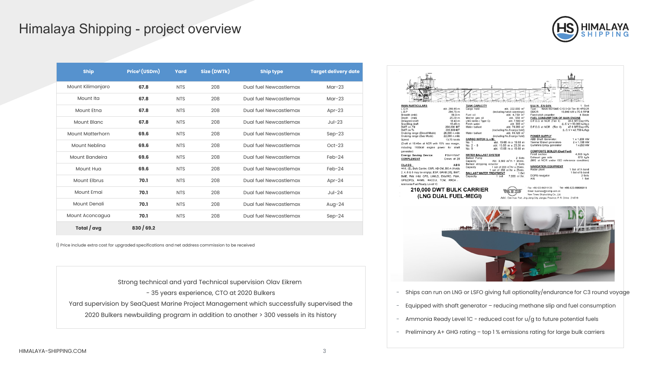## Himalaya Shipping - project overview

| (HS) HIMALAYA |  |
|---------------|--|

| <b>Ship</b>             | Price <sup>1</sup> (USDm) | Yard       | Size (DWTk) | <b>Ship type</b>       | <b>Target delivery date</b> |  |
|-------------------------|---------------------------|------------|-------------|------------------------|-----------------------------|--|
| Mount Kilimanjaro       | 67.8                      | <b>NTS</b> | 208         | Dual fuel Newcastlemax | $Mar-23$                    |  |
| Mount Ita               | 67.8                      | <b>NTS</b> | 208         | Dual fuel Newcastlemax | $Mar-23$                    |  |
| <b>Mount Etna</b>       | 67.8                      | <b>NTS</b> | 208         | Dual fuel Newcastlemax | $Apr-23$                    |  |
| Mount Blanc             | 67.8                      | <b>NTS</b> | 208         | Dual fuel Newcastlemax | $Jul-23$                    |  |
| <b>Mount Matterhorn</b> | 69.6                      | <b>NTS</b> | 208         | Dual fuel Newcastlemax | $Sep-23$                    |  |
| Mount Nebling           | 69.6                      | <b>NTS</b> | 208         | Dual fuel Newcastlemax | $Oct-23$                    |  |
| Mount Bandeira          | 69.6                      | <b>NTS</b> | 208         | Dual fuel Newcastlemax | $Feb-24$                    |  |
| Mount Hug               | 69.6                      | <b>NTS</b> | 208         | Dual fuel Newcastlemax | $Feb-24$                    |  |
| Mount Elbrus            | 70.1                      | <b>NTS</b> | 208         | Dual fuel Newcastlemax | $Apr-24$                    |  |
| Mount Emai              | 70.1                      | <b>NTS</b> | 208         | Dual fuel Newcastlemax | $Jul-24$                    |  |
| Mount Denali            | 70.1                      | <b>NTS</b> | 208         | Dual fuel Newcastlemax | Aug- $24$                   |  |
| Mount Aconcagua         | 70.1                      | <b>NTS</b> | 208         | Dual fuel Newcastlemax | $Sep-24$                    |  |
| Total / avg             | 830/69.2                  |            |             |                        |                             |  |

1) Price include extra cost for upgraded specifications and net address commission to be received

Strong technical and yard Technical supervision Olav Eikrem - 35 years experience, CTO at 2020 Bulkers Yard supervision by SeaQuest Marine Project Management which successfully supervised the 2020 Bulkers newbuilding program in addition to another > 300 vessels in its history

| <b>MAIN PARTICULARS</b><br>L.O.A<br>abt. 299.95 m                                                  | <b>TANK CAPACITY</b><br>Cargo hold<br>abt. 222,000 m <sup>3</sup>                            | <b>MAIN ENGIN</b><br>1 Set<br>MAN 6G70ME-C10.5-GI Tier III HPSCR<br>Type:               |
|----------------------------------------------------------------------------------------------------|----------------------------------------------------------------------------------------------|-----------------------------------------------------------------------------------------|
| L.B.P<br>294.75 m<br>Breadth (mld)<br>50.0 m                                                       | (Including hatch coamings)<br>Fuel oil<br>abt. 4,750 m <sup>3</sup>                          | SMCR:<br>15,840 kW x 70.8 RPM<br>Fixed-pitch propeller<br>4 Blade                       |
| Depth (mld)<br>25.20 m<br>Designed draft<br>18.40 m                                                | Marine gas oil<br>abt. 550 m <sup>3</sup><br>LNG tanks (Type C)<br>abt. 7,500 m <sup>3</sup> | <b>FUEL CONSUMPTION OF MAIN ENGINE</b><br>D.F.G.C at NCR (Tier II)<br>38.6 MT/Day+6%    |
| Scantling draft<br>18.48 m<br>DWT on Td<br>208,800 MT                                              | abt. 300 m <sup>3</sup><br>Fresh water<br>Water ballast<br>abt. 70,380 m <sup>3</sup>        | $(L.C.V = 50,000 kJ/kg)$<br>D.F.O.C at NCR (Tier II)<br>47.9 MT/Day+6%                  |
| DWT on Ts<br>209,800 MT<br>Cruising range (Diesel Mode)<br>26,500 n.mile                           | (excluding No.6 cargo hold)<br>Water ballast<br>abt. 93,120 m <sup>3</sup>                   | $(L.C.V = 42,700 kJ/kg)$                                                                |
| 22,000 n.mile<br>Cruising range (Gas Mode)                                                         | (including No.6 cargo hold)                                                                  | <b>POWER SUPPLY</b>                                                                     |
| 13.75 knots<br>Speed<br>(Draft at 18.40m at NCR with 15% sea margin,                               | <b>CARGO HATCH (L x B)</b><br>abt. 15.68 m x 19.60 m<br>No. 1                                | <b>ABB Shaft Generator:</b><br>1 x 1.200 kW<br>Yanmar Diesel generators<br>2 x 1,198 kW |
| including 1100kW engine power for shaft                                                            | No. 2 - 8<br>abt. 15.68 m x 23.20 m<br>No. 9<br>abt. 15.68 m x 19.60 m                       | 1 x 250 kW<br>Cummins Emcy. generator                                                   |
| generator)<br>PSV+HVAF<br><b>Energy Saving Device:</b>                                             | <b>WATER BALLAST SYSTEM</b>                                                                  | <b>COMPOSITE BOILER (Dual Fuel)</b><br>4,000 kg/h<br>Fired section                      |
| <b>COMPLEMENT</b><br>Crews of 28                                                                   | <b>Ballast Pump</b><br>2 Sets<br>Abt. 3,500 m <sup>3</sup> /h × 35mlc.<br>Capacity           | 670 kg/h<br>Exhaust gas side<br>(M/E at NCR under ISO reference condition)              |
| <b>CLASS</b><br><b>ABS</b>                                                                         | Ballast stripping eductor<br>2 Sets<br>1 set of 200 m <sup>3</sup> /hr x 25mlc.<br>Capacity  | <b>NAVIGATION EQUIPMENT</b>                                                             |
| ⊕A1, (E), Bulk Carrier, CSR, AB-CM, BC-A (Holds<br>2, 4, 6 & 8 may be empty), ESP, GRAB [35], BWT, | 1 set of 350 m <sup>3</sup> /hr x 25mlc.<br><b>BALLAST WATER TREATMENT</b><br>1 Set          | 1 Set of X-band<br>Radar plant<br>1 Set of S-band                                       |
| BWE, RW, IHM, CPS, UWILD, ENVIRO, PMA,                                                             | 7,000 m <sup>3</sup> /hr.<br>Capacity<br>set                                                 | DGPS navigator<br>2 Sets<br>1 Set<br>AIS                                                |
| GFS(DFD), #AMS, #ACCU, TCM, RRDA ,<br>Ammonia Fuel Ready Level 1C                                  |                                                                                              |                                                                                         |
| 210,000 DWT BULK CARRIER                                                                           |                                                                                              | Fax: +86-523-84215129<br>Tel: +86-523-80686819<br>Email: business@ncship.com.cn         |
| (LNG DUAL FUEL-MEGI)                                                                               |                                                                                              | New Times Shipbuilding Co., Ltd.                                                        |
|                                                                                                    |                                                                                              | Add.: Dan Hua Port, Jing Jiang City, Jiangsu Province, P. R. China 214518               |
|                                                                                                    |                                                                                              |                                                                                         |
| $-10.5$                                                                                            |                                                                                              | Ale Hamal Bir<br>TA TIA T                                                               |
|                                                                                                    |                                                                                              |                                                                                         |
|                                                                                                    |                                                                                              |                                                                                         |
|                                                                                                    |                                                                                              |                                                                                         |
|                                                                                                    |                                                                                              |                                                                                         |
|                                                                                                    |                                                                                              | Ships can run on LNG or LSFO giving full optionality/endurance for C3 round voyage      |
|                                                                                                    |                                                                                              | Equipped with shaft generator - reducing methane slip and fuel consumption              |

- Ammonia Ready Level 1C reduced cost for  $u/g$  to future potential fuels
- Preliminary A+ GHG rating top 1% emissions rating for large bulk carriers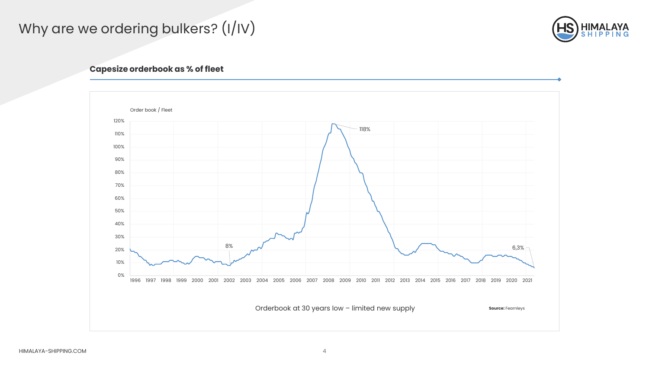# Why are we ordering bulkers? (I/IV)



### **Capesize orderbook as % of fleet**

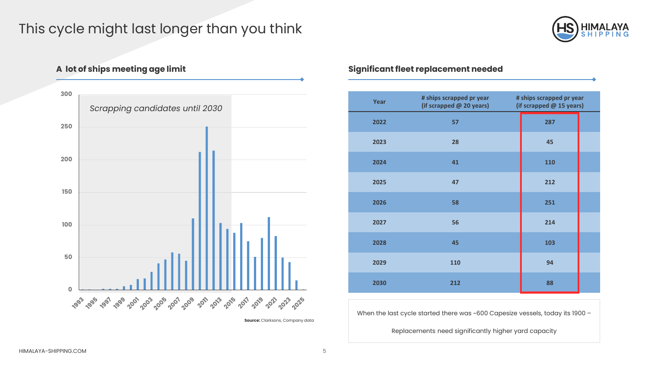# This cycle might last longer than you think



**300** *Scrapping candidates until 2030* **250 200 150 100 50 0** - 393 - 395 - 395 - 309 - 309 - 309 - 309 - 309 - 309 - 309 - 309 - 309 - 309 - 309

**Source:** Clarksons, Company data

### **A lot of ships meeting age limit Significant fleet replacement needed**

| Year | # ships scrapped pr year<br>(if scrapped @ 20 years) | # ships scrapped pr year<br>(if scrapped @ 15 years) |  |
|------|------------------------------------------------------|------------------------------------------------------|--|
| 2022 | 57                                                   | 287                                                  |  |
| 2023 | 28                                                   | 45                                                   |  |
| 2024 | 41                                                   | 110                                                  |  |
| 2025 | 47                                                   | 212                                                  |  |
| 2026 | 58                                                   | 251                                                  |  |
| 2027 | 56                                                   | 214                                                  |  |
| 2028 | 45                                                   | 103                                                  |  |
| 2029 | 110                                                  | 94                                                   |  |
| 2030 | 212                                                  | 88                                                   |  |

When the last cycle started there was ~600 Capesize vessels, today its 1900 –

Replacements need significantly higher yard capacity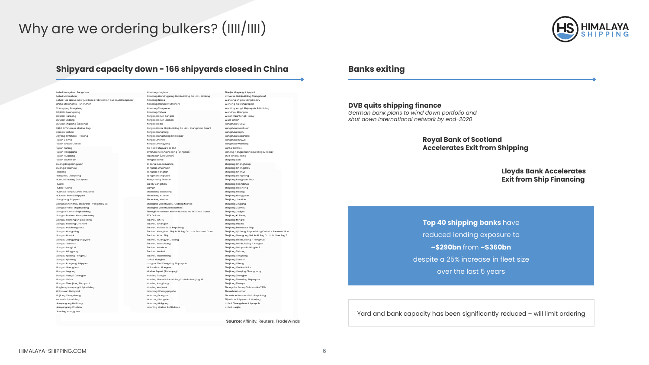# Why are we ordering bulkers? (IIII/IIII)



### **Shipyard capacity down - 166 shipyards closed in China Banks exiting**

| Anhui Ma'anshan<br>Nantong Lianxinggang Shipbuilding Co Ltd - Qidong<br>Universe Shipbuilding (Yangzhou)<br>Wanlong Shipbuilding Heavy<br>Bohai (as above now just block fabrication but could reappear)<br>Nantong Nikka<br>China Merchants - Shenzhen<br>Nantong Rainbow Offshore<br>Wenling Kaili Shiprepair<br>Wenling Yongli Shiprepair & Building<br>Chongging Dongfeng<br>Nantong Tongmao<br>COSCO Guangdong<br>Nantong Yahua<br>Wenzhou Zhongou<br>Wison (Nantong) Heavy<br>COSCO Nantong<br>Ningbo Beilun Kangda<br>Ningbo Beilun Lantian<br>Wudi Jinbin<br>COSCO Qidong<br>COSCO Shipping (Qidong)<br>Ningbo Boda<br>Yangzhou Guoyu<br>CSSC Offshore & Marine Eng.<br>Ningbo Bohai Shipbuilding Co Ltd - Xiangshan Count<br>Yangzhou Haichuan<br>Damen Yichan<br>Ningbo Dongfang<br>Yangzhou Kejin<br>Dayang Offshore - Taixing<br>Ningbo Dongsheng Shiprepair<br>Yangzhou Nakanishi<br>Fujian Baima<br>Ningbo Zhenhe<br>Yangzhou Ryuwa<br>Fulian Crown Ocean<br>Ningbo Zhongyang<br>Yanazhou Wanlona<br>Fujian Funing<br>No 4807 Shipyard of PLA<br>Yantai Raffles<br>Offshore Oil Engineering (Qingdao)<br>Fujian Honggang<br>Yizheng Kangping Shipbuilding & Repair<br>PaxOcean (Zhoushan)<br><b>Fujian Huadong</b><br><b>ZCHI Shipbuilding</b><br><b>Fullan Southeast</b><br>Penalai Bohai<br>Zhejiang Aoli<br>Guangdong Qingyuan<br>Qidong Daoda Marine<br>Zhejiang Changhong<br>Guangxi Wuzhou<br>Qingdao Wuchuan<br>Zhejiang Chengzhou<br>Haidong<br>Qingdao Yangfan<br>Zhejiang Chenye<br>Hangzhou Dongfeng<br>Qingshan Shipyard<br>Zhejiang Donghong<br>Huarun Dadong Dockyard<br>Rongcheng Shenfei<br>Zhejiang Fangyuan Ship<br>Huatai<br>Sainty Yangzhou<br>Zhejiang Friendship<br>Hubei Hughai<br>Samjin<br>Zhejiang Haicheng<br>Huizhou Tonghu Zhifa Industrial<br>Shandong Baibuting<br>Zhejiang Hexing<br>Huludao Bohai Shipyard<br>Shandong Huahai<br>Zhejiang Hongguan<br>Jiangdong Shipyard<br>Shandong Weihai<br>Zhejiang Jiantiao<br>Jiangdu Shenzhou Shipyard - Yangzhou JS<br>Shanghai Zhenhua H.I. Qidong Marine<br>Zhejiang Jingang<br>Jiangdu Yahai Shipbuilding<br>Shanghai Zhenhua Industries<br>Zhejiang Jiuzhou<br>Shengli Petroleum Admin Bureau No 1 Oilfield Const<br>Jiangdu Yuehai Shipbuilding<br>Zhejiang Judger<br><b>STX Dalian</b><br>Zhejiang Kaihang<br>Jiangsu Eastern Heavy Industry<br>Jiangsu Haifeng Shipbuilding<br><b>Taizhou CATIC</b><br>Zhejiang Mingfa<br>Taizhou Changxin<br>Jiangsu Haitong Offshore<br><b>Zhejiang Pacific</b><br>Jiangsu Haizhongzhou<br>Taizhou Haibin Sb. & Repairing<br>Zhejiang Peninsula Ship<br>Taizhou Hengzhou Shipbuilding Co Ltd - Sanmen Coun<br>Jiangsu Hongming<br>Jiangsu Huatai<br>Taizhou Huaji Ship<br>Zhejiang Shengong Shipbuilding Co Ltd - Yueqing ZJ<br>Jiangsu Jiangyang Shipyard<br>Taizhou Huangyan Jixiang<br>Zhejiang Shipbuilding - Fenghua<br>Jiangsu Jiuzhou<br><b>Taizhou Wanchang</b><br>Zhejiang Shipbuilding - Ningbo<br>Jiangsu Longli HI<br>Taizhou Wuzhou<br>Zhejiang Shipyard - Ningbo ZJ<br>Jiangsu Mingyang<br>Taizhou Yanhai<br>Zhejiang Taitong<br>Jiangsu Qidong Fengshu<br>Taizhou Yuansheng<br>Zhejiang Tenglong<br>Linhai Jianghai<br>Zhejiang Tianshi<br>Jiangsu Qinfeng<br>Jiangsu Runyang Shipyard<br>Longhai Zini Xiongxing Shiprepair<br>Zhejiang Xifeng<br>Jiangsu Shenghua<br>Ma'anshan Jiangnan<br>Zhejiang Xintian Ship<br>Marine Expert (Zhaoging)<br>Zhejiang Yueging Changhong<br>Jiangsu Sugang<br>Jiangsu Yangzi Changbo<br>Nanjing Dongze<br>Zhejiang Zhenghe<br>Nanjing Jinda Shipbuilding Co Ltd - Nanjing JS<br>Jiangsu Ya'ou<br>Zhejiang Zhenxing Shiprepair<br>Jiangsu Zhenjiang Shipyard<br>Nanjing Ningjiang<br>Zhejiang Zhenyu<br>Jingjiang Nanyang Shipbuilding<br>Nanjing Wujiazui<br>Zhongche Group Taizhou No 7816<br>Jinhaiwan Shipyard<br>Nantong Changqingsha<br>Zhoushan Haitian<br>Jiujiang Xiangsheng<br>Nantong Dongxin<br>Zhoushan Wuzhou Ship Repairing<br>Kouan Shipbuilding<br>Nantong Gangzha<br>Zijinshan Shipyard of Nanjing<br>Linhai Changshun Shiprepair<br>Lianyungang Helitong<br>Nantong Huigang<br>Lianyungang Wuzhou<br>Liaoning Marine & Offshore<br>Linhai Huajie<br>Liaoning Hongguan |                         |                 |                          |
|---------------------------------------------------------------------------------------------------------------------------------------------------------------------------------------------------------------------------------------------------------------------------------------------------------------------------------------------------------------------------------------------------------------------------------------------------------------------------------------------------------------------------------------------------------------------------------------------------------------------------------------------------------------------------------------------------------------------------------------------------------------------------------------------------------------------------------------------------------------------------------------------------------------------------------------------------------------------------------------------------------------------------------------------------------------------------------------------------------------------------------------------------------------------------------------------------------------------------------------------------------------------------------------------------------------------------------------------------------------------------------------------------------------------------------------------------------------------------------------------------------------------------------------------------------------------------------------------------------------------------------------------------------------------------------------------------------------------------------------------------------------------------------------------------------------------------------------------------------------------------------------------------------------------------------------------------------------------------------------------------------------------------------------------------------------------------------------------------------------------------------------------------------------------------------------------------------------------------------------------------------------------------------------------------------------------------------------------------------------------------------------------------------------------------------------------------------------------------------------------------------------------------------------------------------------------------------------------------------------------------------------------------------------------------------------------------------------------------------------------------------------------------------------------------------------------------------------------------------------------------------------------------------------------------------------------------------------------------------------------------------------------------------------------------------------------------------------------------------------------------------------------------------------------------------------------------------------------------------------------------------------------------------------------------------------------------------------------------------------------------------------------------------------------------------------------------------------------------------------------------------------------------------------------------------------------------------------------------------------------------------------------------------------------------------------------------------------------------------------------------------------------------------------------------------------------------------------------------------------------------------------------------------------------------------------------------------------------------------------------------------------------------------------------------------------------------------------------------------------------------------------------------------------------------|-------------------------|-----------------|--------------------------|
| Zhejiang Qinfeng Shipbuilding Co Ltd - Sanmen Xian                                                                                                                                                                                                                                                                                                                                                                                                                                                                                                                                                                                                                                                                                                                                                                                                                                                                                                                                                                                                                                                                                                                                                                                                                                                                                                                                                                                                                                                                                                                                                                                                                                                                                                                                                                                                                                                                                                                                                                                                                                                                                                                                                                                                                                                                                                                                                                                                                                                                                                                                                                                                                                                                                                                                                                                                                                                                                                                                                                                                                                                                                                                                                                                                                                                                                                                                                                                                                                                                                                                                                                                                                                                                                                                                                                                                                                                                                                                                                                                                                                                                                                                        | Anhui Hengshun Fangzhou | Nantong Jinghua | Tianjin Xingang Shipyard |
|                                                                                                                                                                                                                                                                                                                                                                                                                                                                                                                                                                                                                                                                                                                                                                                                                                                                                                                                                                                                                                                                                                                                                                                                                                                                                                                                                                                                                                                                                                                                                                                                                                                                                                                                                                                                                                                                                                                                                                                                                                                                                                                                                                                                                                                                                                                                                                                                                                                                                                                                                                                                                                                                                                                                                                                                                                                                                                                                                                                                                                                                                                                                                                                                                                                                                                                                                                                                                                                                                                                                                                                                                                                                                                                                                                                                                                                                                                                                                                                                                                                                                                                                                                           |                         |                 |                          |
|                                                                                                                                                                                                                                                                                                                                                                                                                                                                                                                                                                                                                                                                                                                                                                                                                                                                                                                                                                                                                                                                                                                                                                                                                                                                                                                                                                                                                                                                                                                                                                                                                                                                                                                                                                                                                                                                                                                                                                                                                                                                                                                                                                                                                                                                                                                                                                                                                                                                                                                                                                                                                                                                                                                                                                                                                                                                                                                                                                                                                                                                                                                                                                                                                                                                                                                                                                                                                                                                                                                                                                                                                                                                                                                                                                                                                                                                                                                                                                                                                                                                                                                                                                           |                         |                 |                          |
|                                                                                                                                                                                                                                                                                                                                                                                                                                                                                                                                                                                                                                                                                                                                                                                                                                                                                                                                                                                                                                                                                                                                                                                                                                                                                                                                                                                                                                                                                                                                                                                                                                                                                                                                                                                                                                                                                                                                                                                                                                                                                                                                                                                                                                                                                                                                                                                                                                                                                                                                                                                                                                                                                                                                                                                                                                                                                                                                                                                                                                                                                                                                                                                                                                                                                                                                                                                                                                                                                                                                                                                                                                                                                                                                                                                                                                                                                                                                                                                                                                                                                                                                                                           |                         |                 |                          |
|                                                                                                                                                                                                                                                                                                                                                                                                                                                                                                                                                                                                                                                                                                                                                                                                                                                                                                                                                                                                                                                                                                                                                                                                                                                                                                                                                                                                                                                                                                                                                                                                                                                                                                                                                                                                                                                                                                                                                                                                                                                                                                                                                                                                                                                                                                                                                                                                                                                                                                                                                                                                                                                                                                                                                                                                                                                                                                                                                                                                                                                                                                                                                                                                                                                                                                                                                                                                                                                                                                                                                                                                                                                                                                                                                                                                                                                                                                                                                                                                                                                                                                                                                                           |                         |                 |                          |
|                                                                                                                                                                                                                                                                                                                                                                                                                                                                                                                                                                                                                                                                                                                                                                                                                                                                                                                                                                                                                                                                                                                                                                                                                                                                                                                                                                                                                                                                                                                                                                                                                                                                                                                                                                                                                                                                                                                                                                                                                                                                                                                                                                                                                                                                                                                                                                                                                                                                                                                                                                                                                                                                                                                                                                                                                                                                                                                                                                                                                                                                                                                                                                                                                                                                                                                                                                                                                                                                                                                                                                                                                                                                                                                                                                                                                                                                                                                                                                                                                                                                                                                                                                           |                         |                 |                          |
|                                                                                                                                                                                                                                                                                                                                                                                                                                                                                                                                                                                                                                                                                                                                                                                                                                                                                                                                                                                                                                                                                                                                                                                                                                                                                                                                                                                                                                                                                                                                                                                                                                                                                                                                                                                                                                                                                                                                                                                                                                                                                                                                                                                                                                                                                                                                                                                                                                                                                                                                                                                                                                                                                                                                                                                                                                                                                                                                                                                                                                                                                                                                                                                                                                                                                                                                                                                                                                                                                                                                                                                                                                                                                                                                                                                                                                                                                                                                                                                                                                                                                                                                                                           |                         |                 |                          |
|                                                                                                                                                                                                                                                                                                                                                                                                                                                                                                                                                                                                                                                                                                                                                                                                                                                                                                                                                                                                                                                                                                                                                                                                                                                                                                                                                                                                                                                                                                                                                                                                                                                                                                                                                                                                                                                                                                                                                                                                                                                                                                                                                                                                                                                                                                                                                                                                                                                                                                                                                                                                                                                                                                                                                                                                                                                                                                                                                                                                                                                                                                                                                                                                                                                                                                                                                                                                                                                                                                                                                                                                                                                                                                                                                                                                                                                                                                                                                                                                                                                                                                                                                                           |                         |                 |                          |
|                                                                                                                                                                                                                                                                                                                                                                                                                                                                                                                                                                                                                                                                                                                                                                                                                                                                                                                                                                                                                                                                                                                                                                                                                                                                                                                                                                                                                                                                                                                                                                                                                                                                                                                                                                                                                                                                                                                                                                                                                                                                                                                                                                                                                                                                                                                                                                                                                                                                                                                                                                                                                                                                                                                                                                                                                                                                                                                                                                                                                                                                                                                                                                                                                                                                                                                                                                                                                                                                                                                                                                                                                                                                                                                                                                                                                                                                                                                                                                                                                                                                                                                                                                           |                         |                 |                          |
|                                                                                                                                                                                                                                                                                                                                                                                                                                                                                                                                                                                                                                                                                                                                                                                                                                                                                                                                                                                                                                                                                                                                                                                                                                                                                                                                                                                                                                                                                                                                                                                                                                                                                                                                                                                                                                                                                                                                                                                                                                                                                                                                                                                                                                                                                                                                                                                                                                                                                                                                                                                                                                                                                                                                                                                                                                                                                                                                                                                                                                                                                                                                                                                                                                                                                                                                                                                                                                                                                                                                                                                                                                                                                                                                                                                                                                                                                                                                                                                                                                                                                                                                                                           |                         |                 |                          |
|                                                                                                                                                                                                                                                                                                                                                                                                                                                                                                                                                                                                                                                                                                                                                                                                                                                                                                                                                                                                                                                                                                                                                                                                                                                                                                                                                                                                                                                                                                                                                                                                                                                                                                                                                                                                                                                                                                                                                                                                                                                                                                                                                                                                                                                                                                                                                                                                                                                                                                                                                                                                                                                                                                                                                                                                                                                                                                                                                                                                                                                                                                                                                                                                                                                                                                                                                                                                                                                                                                                                                                                                                                                                                                                                                                                                                                                                                                                                                                                                                                                                                                                                                                           |                         |                 |                          |
|                                                                                                                                                                                                                                                                                                                                                                                                                                                                                                                                                                                                                                                                                                                                                                                                                                                                                                                                                                                                                                                                                                                                                                                                                                                                                                                                                                                                                                                                                                                                                                                                                                                                                                                                                                                                                                                                                                                                                                                                                                                                                                                                                                                                                                                                                                                                                                                                                                                                                                                                                                                                                                                                                                                                                                                                                                                                                                                                                                                                                                                                                                                                                                                                                                                                                                                                                                                                                                                                                                                                                                                                                                                                                                                                                                                                                                                                                                                                                                                                                                                                                                                                                                           |                         |                 |                          |
|                                                                                                                                                                                                                                                                                                                                                                                                                                                                                                                                                                                                                                                                                                                                                                                                                                                                                                                                                                                                                                                                                                                                                                                                                                                                                                                                                                                                                                                                                                                                                                                                                                                                                                                                                                                                                                                                                                                                                                                                                                                                                                                                                                                                                                                                                                                                                                                                                                                                                                                                                                                                                                                                                                                                                                                                                                                                                                                                                                                                                                                                                                                                                                                                                                                                                                                                                                                                                                                                                                                                                                                                                                                                                                                                                                                                                                                                                                                                                                                                                                                                                                                                                                           |                         |                 |                          |
|                                                                                                                                                                                                                                                                                                                                                                                                                                                                                                                                                                                                                                                                                                                                                                                                                                                                                                                                                                                                                                                                                                                                                                                                                                                                                                                                                                                                                                                                                                                                                                                                                                                                                                                                                                                                                                                                                                                                                                                                                                                                                                                                                                                                                                                                                                                                                                                                                                                                                                                                                                                                                                                                                                                                                                                                                                                                                                                                                                                                                                                                                                                                                                                                                                                                                                                                                                                                                                                                                                                                                                                                                                                                                                                                                                                                                                                                                                                                                                                                                                                                                                                                                                           |                         |                 |                          |
|                                                                                                                                                                                                                                                                                                                                                                                                                                                                                                                                                                                                                                                                                                                                                                                                                                                                                                                                                                                                                                                                                                                                                                                                                                                                                                                                                                                                                                                                                                                                                                                                                                                                                                                                                                                                                                                                                                                                                                                                                                                                                                                                                                                                                                                                                                                                                                                                                                                                                                                                                                                                                                                                                                                                                                                                                                                                                                                                                                                                                                                                                                                                                                                                                                                                                                                                                                                                                                                                                                                                                                                                                                                                                                                                                                                                                                                                                                                                                                                                                                                                                                                                                                           |                         |                 |                          |
|                                                                                                                                                                                                                                                                                                                                                                                                                                                                                                                                                                                                                                                                                                                                                                                                                                                                                                                                                                                                                                                                                                                                                                                                                                                                                                                                                                                                                                                                                                                                                                                                                                                                                                                                                                                                                                                                                                                                                                                                                                                                                                                                                                                                                                                                                                                                                                                                                                                                                                                                                                                                                                                                                                                                                                                                                                                                                                                                                                                                                                                                                                                                                                                                                                                                                                                                                                                                                                                                                                                                                                                                                                                                                                                                                                                                                                                                                                                                                                                                                                                                                                                                                                           |                         |                 |                          |
|                                                                                                                                                                                                                                                                                                                                                                                                                                                                                                                                                                                                                                                                                                                                                                                                                                                                                                                                                                                                                                                                                                                                                                                                                                                                                                                                                                                                                                                                                                                                                                                                                                                                                                                                                                                                                                                                                                                                                                                                                                                                                                                                                                                                                                                                                                                                                                                                                                                                                                                                                                                                                                                                                                                                                                                                                                                                                                                                                                                                                                                                                                                                                                                                                                                                                                                                                                                                                                                                                                                                                                                                                                                                                                                                                                                                                                                                                                                                                                                                                                                                                                                                                                           |                         |                 |                          |
|                                                                                                                                                                                                                                                                                                                                                                                                                                                                                                                                                                                                                                                                                                                                                                                                                                                                                                                                                                                                                                                                                                                                                                                                                                                                                                                                                                                                                                                                                                                                                                                                                                                                                                                                                                                                                                                                                                                                                                                                                                                                                                                                                                                                                                                                                                                                                                                                                                                                                                                                                                                                                                                                                                                                                                                                                                                                                                                                                                                                                                                                                                                                                                                                                                                                                                                                                                                                                                                                                                                                                                                                                                                                                                                                                                                                                                                                                                                                                                                                                                                                                                                                                                           |                         |                 |                          |
|                                                                                                                                                                                                                                                                                                                                                                                                                                                                                                                                                                                                                                                                                                                                                                                                                                                                                                                                                                                                                                                                                                                                                                                                                                                                                                                                                                                                                                                                                                                                                                                                                                                                                                                                                                                                                                                                                                                                                                                                                                                                                                                                                                                                                                                                                                                                                                                                                                                                                                                                                                                                                                                                                                                                                                                                                                                                                                                                                                                                                                                                                                                                                                                                                                                                                                                                                                                                                                                                                                                                                                                                                                                                                                                                                                                                                                                                                                                                                                                                                                                                                                                                                                           |                         |                 |                          |
|                                                                                                                                                                                                                                                                                                                                                                                                                                                                                                                                                                                                                                                                                                                                                                                                                                                                                                                                                                                                                                                                                                                                                                                                                                                                                                                                                                                                                                                                                                                                                                                                                                                                                                                                                                                                                                                                                                                                                                                                                                                                                                                                                                                                                                                                                                                                                                                                                                                                                                                                                                                                                                                                                                                                                                                                                                                                                                                                                                                                                                                                                                                                                                                                                                                                                                                                                                                                                                                                                                                                                                                                                                                                                                                                                                                                                                                                                                                                                                                                                                                                                                                                                                           |                         |                 |                          |
|                                                                                                                                                                                                                                                                                                                                                                                                                                                                                                                                                                                                                                                                                                                                                                                                                                                                                                                                                                                                                                                                                                                                                                                                                                                                                                                                                                                                                                                                                                                                                                                                                                                                                                                                                                                                                                                                                                                                                                                                                                                                                                                                                                                                                                                                                                                                                                                                                                                                                                                                                                                                                                                                                                                                                                                                                                                                                                                                                                                                                                                                                                                                                                                                                                                                                                                                                                                                                                                                                                                                                                                                                                                                                                                                                                                                                                                                                                                                                                                                                                                                                                                                                                           |                         |                 |                          |
|                                                                                                                                                                                                                                                                                                                                                                                                                                                                                                                                                                                                                                                                                                                                                                                                                                                                                                                                                                                                                                                                                                                                                                                                                                                                                                                                                                                                                                                                                                                                                                                                                                                                                                                                                                                                                                                                                                                                                                                                                                                                                                                                                                                                                                                                                                                                                                                                                                                                                                                                                                                                                                                                                                                                                                                                                                                                                                                                                                                                                                                                                                                                                                                                                                                                                                                                                                                                                                                                                                                                                                                                                                                                                                                                                                                                                                                                                                                                                                                                                                                                                                                                                                           |                         |                 |                          |
|                                                                                                                                                                                                                                                                                                                                                                                                                                                                                                                                                                                                                                                                                                                                                                                                                                                                                                                                                                                                                                                                                                                                                                                                                                                                                                                                                                                                                                                                                                                                                                                                                                                                                                                                                                                                                                                                                                                                                                                                                                                                                                                                                                                                                                                                                                                                                                                                                                                                                                                                                                                                                                                                                                                                                                                                                                                                                                                                                                                                                                                                                                                                                                                                                                                                                                                                                                                                                                                                                                                                                                                                                                                                                                                                                                                                                                                                                                                                                                                                                                                                                                                                                                           |                         |                 |                          |
|                                                                                                                                                                                                                                                                                                                                                                                                                                                                                                                                                                                                                                                                                                                                                                                                                                                                                                                                                                                                                                                                                                                                                                                                                                                                                                                                                                                                                                                                                                                                                                                                                                                                                                                                                                                                                                                                                                                                                                                                                                                                                                                                                                                                                                                                                                                                                                                                                                                                                                                                                                                                                                                                                                                                                                                                                                                                                                                                                                                                                                                                                                                                                                                                                                                                                                                                                                                                                                                                                                                                                                                                                                                                                                                                                                                                                                                                                                                                                                                                                                                                                                                                                                           |                         |                 |                          |
|                                                                                                                                                                                                                                                                                                                                                                                                                                                                                                                                                                                                                                                                                                                                                                                                                                                                                                                                                                                                                                                                                                                                                                                                                                                                                                                                                                                                                                                                                                                                                                                                                                                                                                                                                                                                                                                                                                                                                                                                                                                                                                                                                                                                                                                                                                                                                                                                                                                                                                                                                                                                                                                                                                                                                                                                                                                                                                                                                                                                                                                                                                                                                                                                                                                                                                                                                                                                                                                                                                                                                                                                                                                                                                                                                                                                                                                                                                                                                                                                                                                                                                                                                                           |                         |                 |                          |
|                                                                                                                                                                                                                                                                                                                                                                                                                                                                                                                                                                                                                                                                                                                                                                                                                                                                                                                                                                                                                                                                                                                                                                                                                                                                                                                                                                                                                                                                                                                                                                                                                                                                                                                                                                                                                                                                                                                                                                                                                                                                                                                                                                                                                                                                                                                                                                                                                                                                                                                                                                                                                                                                                                                                                                                                                                                                                                                                                                                                                                                                                                                                                                                                                                                                                                                                                                                                                                                                                                                                                                                                                                                                                                                                                                                                                                                                                                                                                                                                                                                                                                                                                                           |                         |                 |                          |
|                                                                                                                                                                                                                                                                                                                                                                                                                                                                                                                                                                                                                                                                                                                                                                                                                                                                                                                                                                                                                                                                                                                                                                                                                                                                                                                                                                                                                                                                                                                                                                                                                                                                                                                                                                                                                                                                                                                                                                                                                                                                                                                                                                                                                                                                                                                                                                                                                                                                                                                                                                                                                                                                                                                                                                                                                                                                                                                                                                                                                                                                                                                                                                                                                                                                                                                                                                                                                                                                                                                                                                                                                                                                                                                                                                                                                                                                                                                                                                                                                                                                                                                                                                           |                         |                 |                          |
|                                                                                                                                                                                                                                                                                                                                                                                                                                                                                                                                                                                                                                                                                                                                                                                                                                                                                                                                                                                                                                                                                                                                                                                                                                                                                                                                                                                                                                                                                                                                                                                                                                                                                                                                                                                                                                                                                                                                                                                                                                                                                                                                                                                                                                                                                                                                                                                                                                                                                                                                                                                                                                                                                                                                                                                                                                                                                                                                                                                                                                                                                                                                                                                                                                                                                                                                                                                                                                                                                                                                                                                                                                                                                                                                                                                                                                                                                                                                                                                                                                                                                                                                                                           |                         |                 |                          |
|                                                                                                                                                                                                                                                                                                                                                                                                                                                                                                                                                                                                                                                                                                                                                                                                                                                                                                                                                                                                                                                                                                                                                                                                                                                                                                                                                                                                                                                                                                                                                                                                                                                                                                                                                                                                                                                                                                                                                                                                                                                                                                                                                                                                                                                                                                                                                                                                                                                                                                                                                                                                                                                                                                                                                                                                                                                                                                                                                                                                                                                                                                                                                                                                                                                                                                                                                                                                                                                                                                                                                                                                                                                                                                                                                                                                                                                                                                                                                                                                                                                                                                                                                                           |                         |                 |                          |
|                                                                                                                                                                                                                                                                                                                                                                                                                                                                                                                                                                                                                                                                                                                                                                                                                                                                                                                                                                                                                                                                                                                                                                                                                                                                                                                                                                                                                                                                                                                                                                                                                                                                                                                                                                                                                                                                                                                                                                                                                                                                                                                                                                                                                                                                                                                                                                                                                                                                                                                                                                                                                                                                                                                                                                                                                                                                                                                                                                                                                                                                                                                                                                                                                                                                                                                                                                                                                                                                                                                                                                                                                                                                                                                                                                                                                                                                                                                                                                                                                                                                                                                                                                           |                         |                 |                          |
|                                                                                                                                                                                                                                                                                                                                                                                                                                                                                                                                                                                                                                                                                                                                                                                                                                                                                                                                                                                                                                                                                                                                                                                                                                                                                                                                                                                                                                                                                                                                                                                                                                                                                                                                                                                                                                                                                                                                                                                                                                                                                                                                                                                                                                                                                                                                                                                                                                                                                                                                                                                                                                                                                                                                                                                                                                                                                                                                                                                                                                                                                                                                                                                                                                                                                                                                                                                                                                                                                                                                                                                                                                                                                                                                                                                                                                                                                                                                                                                                                                                                                                                                                                           |                         |                 |                          |
|                                                                                                                                                                                                                                                                                                                                                                                                                                                                                                                                                                                                                                                                                                                                                                                                                                                                                                                                                                                                                                                                                                                                                                                                                                                                                                                                                                                                                                                                                                                                                                                                                                                                                                                                                                                                                                                                                                                                                                                                                                                                                                                                                                                                                                                                                                                                                                                                                                                                                                                                                                                                                                                                                                                                                                                                                                                                                                                                                                                                                                                                                                                                                                                                                                                                                                                                                                                                                                                                                                                                                                                                                                                                                                                                                                                                                                                                                                                                                                                                                                                                                                                                                                           |                         |                 |                          |
|                                                                                                                                                                                                                                                                                                                                                                                                                                                                                                                                                                                                                                                                                                                                                                                                                                                                                                                                                                                                                                                                                                                                                                                                                                                                                                                                                                                                                                                                                                                                                                                                                                                                                                                                                                                                                                                                                                                                                                                                                                                                                                                                                                                                                                                                                                                                                                                                                                                                                                                                                                                                                                                                                                                                                                                                                                                                                                                                                                                                                                                                                                                                                                                                                                                                                                                                                                                                                                                                                                                                                                                                                                                                                                                                                                                                                                                                                                                                                                                                                                                                                                                                                                           |                         |                 |                          |
|                                                                                                                                                                                                                                                                                                                                                                                                                                                                                                                                                                                                                                                                                                                                                                                                                                                                                                                                                                                                                                                                                                                                                                                                                                                                                                                                                                                                                                                                                                                                                                                                                                                                                                                                                                                                                                                                                                                                                                                                                                                                                                                                                                                                                                                                                                                                                                                                                                                                                                                                                                                                                                                                                                                                                                                                                                                                                                                                                                                                                                                                                                                                                                                                                                                                                                                                                                                                                                                                                                                                                                                                                                                                                                                                                                                                                                                                                                                                                                                                                                                                                                                                                                           |                         |                 |                          |
|                                                                                                                                                                                                                                                                                                                                                                                                                                                                                                                                                                                                                                                                                                                                                                                                                                                                                                                                                                                                                                                                                                                                                                                                                                                                                                                                                                                                                                                                                                                                                                                                                                                                                                                                                                                                                                                                                                                                                                                                                                                                                                                                                                                                                                                                                                                                                                                                                                                                                                                                                                                                                                                                                                                                                                                                                                                                                                                                                                                                                                                                                                                                                                                                                                                                                                                                                                                                                                                                                                                                                                                                                                                                                                                                                                                                                                                                                                                                                                                                                                                                                                                                                                           |                         |                 |                          |
|                                                                                                                                                                                                                                                                                                                                                                                                                                                                                                                                                                                                                                                                                                                                                                                                                                                                                                                                                                                                                                                                                                                                                                                                                                                                                                                                                                                                                                                                                                                                                                                                                                                                                                                                                                                                                                                                                                                                                                                                                                                                                                                                                                                                                                                                                                                                                                                                                                                                                                                                                                                                                                                                                                                                                                                                                                                                                                                                                                                                                                                                                                                                                                                                                                                                                                                                                                                                                                                                                                                                                                                                                                                                                                                                                                                                                                                                                                                                                                                                                                                                                                                                                                           |                         |                 |                          |
|                                                                                                                                                                                                                                                                                                                                                                                                                                                                                                                                                                                                                                                                                                                                                                                                                                                                                                                                                                                                                                                                                                                                                                                                                                                                                                                                                                                                                                                                                                                                                                                                                                                                                                                                                                                                                                                                                                                                                                                                                                                                                                                                                                                                                                                                                                                                                                                                                                                                                                                                                                                                                                                                                                                                                                                                                                                                                                                                                                                                                                                                                                                                                                                                                                                                                                                                                                                                                                                                                                                                                                                                                                                                                                                                                                                                                                                                                                                                                                                                                                                                                                                                                                           |                         |                 |                          |
|                                                                                                                                                                                                                                                                                                                                                                                                                                                                                                                                                                                                                                                                                                                                                                                                                                                                                                                                                                                                                                                                                                                                                                                                                                                                                                                                                                                                                                                                                                                                                                                                                                                                                                                                                                                                                                                                                                                                                                                                                                                                                                                                                                                                                                                                                                                                                                                                                                                                                                                                                                                                                                                                                                                                                                                                                                                                                                                                                                                                                                                                                                                                                                                                                                                                                                                                                                                                                                                                                                                                                                                                                                                                                                                                                                                                                                                                                                                                                                                                                                                                                                                                                                           |                         |                 |                          |
|                                                                                                                                                                                                                                                                                                                                                                                                                                                                                                                                                                                                                                                                                                                                                                                                                                                                                                                                                                                                                                                                                                                                                                                                                                                                                                                                                                                                                                                                                                                                                                                                                                                                                                                                                                                                                                                                                                                                                                                                                                                                                                                                                                                                                                                                                                                                                                                                                                                                                                                                                                                                                                                                                                                                                                                                                                                                                                                                                                                                                                                                                                                                                                                                                                                                                                                                                                                                                                                                                                                                                                                                                                                                                                                                                                                                                                                                                                                                                                                                                                                                                                                                                                           |                         |                 |                          |
|                                                                                                                                                                                                                                                                                                                                                                                                                                                                                                                                                                                                                                                                                                                                                                                                                                                                                                                                                                                                                                                                                                                                                                                                                                                                                                                                                                                                                                                                                                                                                                                                                                                                                                                                                                                                                                                                                                                                                                                                                                                                                                                                                                                                                                                                                                                                                                                                                                                                                                                                                                                                                                                                                                                                                                                                                                                                                                                                                                                                                                                                                                                                                                                                                                                                                                                                                                                                                                                                                                                                                                                                                                                                                                                                                                                                                                                                                                                                                                                                                                                                                                                                                                           |                         |                 |                          |
|                                                                                                                                                                                                                                                                                                                                                                                                                                                                                                                                                                                                                                                                                                                                                                                                                                                                                                                                                                                                                                                                                                                                                                                                                                                                                                                                                                                                                                                                                                                                                                                                                                                                                                                                                                                                                                                                                                                                                                                                                                                                                                                                                                                                                                                                                                                                                                                                                                                                                                                                                                                                                                                                                                                                                                                                                                                                                                                                                                                                                                                                                                                                                                                                                                                                                                                                                                                                                                                                                                                                                                                                                                                                                                                                                                                                                                                                                                                                                                                                                                                                                                                                                                           |                         |                 |                          |
|                                                                                                                                                                                                                                                                                                                                                                                                                                                                                                                                                                                                                                                                                                                                                                                                                                                                                                                                                                                                                                                                                                                                                                                                                                                                                                                                                                                                                                                                                                                                                                                                                                                                                                                                                                                                                                                                                                                                                                                                                                                                                                                                                                                                                                                                                                                                                                                                                                                                                                                                                                                                                                                                                                                                                                                                                                                                                                                                                                                                                                                                                                                                                                                                                                                                                                                                                                                                                                                                                                                                                                                                                                                                                                                                                                                                                                                                                                                                                                                                                                                                                                                                                                           |                         |                 |                          |
|                                                                                                                                                                                                                                                                                                                                                                                                                                                                                                                                                                                                                                                                                                                                                                                                                                                                                                                                                                                                                                                                                                                                                                                                                                                                                                                                                                                                                                                                                                                                                                                                                                                                                                                                                                                                                                                                                                                                                                                                                                                                                                                                                                                                                                                                                                                                                                                                                                                                                                                                                                                                                                                                                                                                                                                                                                                                                                                                                                                                                                                                                                                                                                                                                                                                                                                                                                                                                                                                                                                                                                                                                                                                                                                                                                                                                                                                                                                                                                                                                                                                                                                                                                           |                         |                 |                          |
|                                                                                                                                                                                                                                                                                                                                                                                                                                                                                                                                                                                                                                                                                                                                                                                                                                                                                                                                                                                                                                                                                                                                                                                                                                                                                                                                                                                                                                                                                                                                                                                                                                                                                                                                                                                                                                                                                                                                                                                                                                                                                                                                                                                                                                                                                                                                                                                                                                                                                                                                                                                                                                                                                                                                                                                                                                                                                                                                                                                                                                                                                                                                                                                                                                                                                                                                                                                                                                                                                                                                                                                                                                                                                                                                                                                                                                                                                                                                                                                                                                                                                                                                                                           |                         |                 |                          |
|                                                                                                                                                                                                                                                                                                                                                                                                                                                                                                                                                                                                                                                                                                                                                                                                                                                                                                                                                                                                                                                                                                                                                                                                                                                                                                                                                                                                                                                                                                                                                                                                                                                                                                                                                                                                                                                                                                                                                                                                                                                                                                                                                                                                                                                                                                                                                                                                                                                                                                                                                                                                                                                                                                                                                                                                                                                                                                                                                                                                                                                                                                                                                                                                                                                                                                                                                                                                                                                                                                                                                                                                                                                                                                                                                                                                                                                                                                                                                                                                                                                                                                                                                                           |                         |                 |                          |
|                                                                                                                                                                                                                                                                                                                                                                                                                                                                                                                                                                                                                                                                                                                                                                                                                                                                                                                                                                                                                                                                                                                                                                                                                                                                                                                                                                                                                                                                                                                                                                                                                                                                                                                                                                                                                                                                                                                                                                                                                                                                                                                                                                                                                                                                                                                                                                                                                                                                                                                                                                                                                                                                                                                                                                                                                                                                                                                                                                                                                                                                                                                                                                                                                                                                                                                                                                                                                                                                                                                                                                                                                                                                                                                                                                                                                                                                                                                                                                                                                                                                                                                                                                           |                         |                 |                          |
|                                                                                                                                                                                                                                                                                                                                                                                                                                                                                                                                                                                                                                                                                                                                                                                                                                                                                                                                                                                                                                                                                                                                                                                                                                                                                                                                                                                                                                                                                                                                                                                                                                                                                                                                                                                                                                                                                                                                                                                                                                                                                                                                                                                                                                                                                                                                                                                                                                                                                                                                                                                                                                                                                                                                                                                                                                                                                                                                                                                                                                                                                                                                                                                                                                                                                                                                                                                                                                                                                                                                                                                                                                                                                                                                                                                                                                                                                                                                                                                                                                                                                                                                                                           |                         |                 |                          |
|                                                                                                                                                                                                                                                                                                                                                                                                                                                                                                                                                                                                                                                                                                                                                                                                                                                                                                                                                                                                                                                                                                                                                                                                                                                                                                                                                                                                                                                                                                                                                                                                                                                                                                                                                                                                                                                                                                                                                                                                                                                                                                                                                                                                                                                                                                                                                                                                                                                                                                                                                                                                                                                                                                                                                                                                                                                                                                                                                                                                                                                                                                                                                                                                                                                                                                                                                                                                                                                                                                                                                                                                                                                                                                                                                                                                                                                                                                                                                                                                                                                                                                                                                                           |                         |                 |                          |
|                                                                                                                                                                                                                                                                                                                                                                                                                                                                                                                                                                                                                                                                                                                                                                                                                                                                                                                                                                                                                                                                                                                                                                                                                                                                                                                                                                                                                                                                                                                                                                                                                                                                                                                                                                                                                                                                                                                                                                                                                                                                                                                                                                                                                                                                                                                                                                                                                                                                                                                                                                                                                                                                                                                                                                                                                                                                                                                                                                                                                                                                                                                                                                                                                                                                                                                                                                                                                                                                                                                                                                                                                                                                                                                                                                                                                                                                                                                                                                                                                                                                                                                                                                           |                         |                 |                          |
|                                                                                                                                                                                                                                                                                                                                                                                                                                                                                                                                                                                                                                                                                                                                                                                                                                                                                                                                                                                                                                                                                                                                                                                                                                                                                                                                                                                                                                                                                                                                                                                                                                                                                                                                                                                                                                                                                                                                                                                                                                                                                                                                                                                                                                                                                                                                                                                                                                                                                                                                                                                                                                                                                                                                                                                                                                                                                                                                                                                                                                                                                                                                                                                                                                                                                                                                                                                                                                                                                                                                                                                                                                                                                                                                                                                                                                                                                                                                                                                                                                                                                                                                                                           |                         |                 |                          |
|                                                                                                                                                                                                                                                                                                                                                                                                                                                                                                                                                                                                                                                                                                                                                                                                                                                                                                                                                                                                                                                                                                                                                                                                                                                                                                                                                                                                                                                                                                                                                                                                                                                                                                                                                                                                                                                                                                                                                                                                                                                                                                                                                                                                                                                                                                                                                                                                                                                                                                                                                                                                                                                                                                                                                                                                                                                                                                                                                                                                                                                                                                                                                                                                                                                                                                                                                                                                                                                                                                                                                                                                                                                                                                                                                                                                                                                                                                                                                                                                                                                                                                                                                                           |                         |                 |                          |
|                                                                                                                                                                                                                                                                                                                                                                                                                                                                                                                                                                                                                                                                                                                                                                                                                                                                                                                                                                                                                                                                                                                                                                                                                                                                                                                                                                                                                                                                                                                                                                                                                                                                                                                                                                                                                                                                                                                                                                                                                                                                                                                                                                                                                                                                                                                                                                                                                                                                                                                                                                                                                                                                                                                                                                                                                                                                                                                                                                                                                                                                                                                                                                                                                                                                                                                                                                                                                                                                                                                                                                                                                                                                                                                                                                                                                                                                                                                                                                                                                                                                                                                                                                           |                         |                 |                          |
|                                                                                                                                                                                                                                                                                                                                                                                                                                                                                                                                                                                                                                                                                                                                                                                                                                                                                                                                                                                                                                                                                                                                                                                                                                                                                                                                                                                                                                                                                                                                                                                                                                                                                                                                                                                                                                                                                                                                                                                                                                                                                                                                                                                                                                                                                                                                                                                                                                                                                                                                                                                                                                                                                                                                                                                                                                                                                                                                                                                                                                                                                                                                                                                                                                                                                                                                                                                                                                                                                                                                                                                                                                                                                                                                                                                                                                                                                                                                                                                                                                                                                                                                                                           |                         |                 |                          |
|                                                                                                                                                                                                                                                                                                                                                                                                                                                                                                                                                                                                                                                                                                                                                                                                                                                                                                                                                                                                                                                                                                                                                                                                                                                                                                                                                                                                                                                                                                                                                                                                                                                                                                                                                                                                                                                                                                                                                                                                                                                                                                                                                                                                                                                                                                                                                                                                                                                                                                                                                                                                                                                                                                                                                                                                                                                                                                                                                                                                                                                                                                                                                                                                                                                                                                                                                                                                                                                                                                                                                                                                                                                                                                                                                                                                                                                                                                                                                                                                                                                                                                                                                                           |                         |                 |                          |
|                                                                                                                                                                                                                                                                                                                                                                                                                                                                                                                                                                                                                                                                                                                                                                                                                                                                                                                                                                                                                                                                                                                                                                                                                                                                                                                                                                                                                                                                                                                                                                                                                                                                                                                                                                                                                                                                                                                                                                                                                                                                                                                                                                                                                                                                                                                                                                                                                                                                                                                                                                                                                                                                                                                                                                                                                                                                                                                                                                                                                                                                                                                                                                                                                                                                                                                                                                                                                                                                                                                                                                                                                                                                                                                                                                                                                                                                                                                                                                                                                                                                                                                                                                           |                         |                 |                          |
|                                                                                                                                                                                                                                                                                                                                                                                                                                                                                                                                                                                                                                                                                                                                                                                                                                                                                                                                                                                                                                                                                                                                                                                                                                                                                                                                                                                                                                                                                                                                                                                                                                                                                                                                                                                                                                                                                                                                                                                                                                                                                                                                                                                                                                                                                                                                                                                                                                                                                                                                                                                                                                                                                                                                                                                                                                                                                                                                                                                                                                                                                                                                                                                                                                                                                                                                                                                                                                                                                                                                                                                                                                                                                                                                                                                                                                                                                                                                                                                                                                                                                                                                                                           |                         |                 |                          |

| njin Xingang Shipyard                           |
|-------------------------------------------------|
| verse Shipbuilding (Yangzhou)                   |
| inlong Shipbuilding Heavy                       |
| nling Kaili Shiprepair                          |
| nling Yongli Shiprepair & Building              |
| nzhou Zhongou                                   |
| son (Nantong) Heavy                             |
| ıdi Jinbin                                      |
| gzhou Guoyu                                     |
| gzhou Haichuan                                  |
| ngzhou Kejin                                    |
| ngzhou Nakanishi                                |
| ngzhou Ryuwa                                    |
| gzhou Wanlong                                   |
| tai Raffles                                     |
| heng Kangping Shipbuilding & Repair             |
| <b>Il Shipbuilding</b>                          |
|                                                 |
| ejiang Aoli                                     |
| ejiang Changhong                                |
| ejiang Chengzhou                                |
| ejiang Chenye                                   |
| ejiang Donghong                                 |
| <b>ijiang Fangyuan Ship</b>                     |
| ejiang Friendship                               |
| ejiang Haicheng                                 |
| ejiang Hexing                                   |
| ejiang Hongguan                                 |
| ejiang Jiantiao                                 |
| ejiang Jingang                                  |
| ejiang Jiuzhou                                  |
| ejiang Judger                                   |
| ejiang Kaihang                                  |
| ejiang Mingfa                                   |
| ejiang Pacific                                  |
| ejiang Peninsula Ship                           |
| ejiang Qinfeng Shipbuilding Co Ltd - Sanmen Xic |
| ejiang Shengong Shipbuilding Co Ltd - Yueqing Z |
| ejiang Shipbuilding - Fenghua                   |
| ejiang Shipbuilding - Ningbo                    |
| ejiang Shipyard - Ningbo ZJ                     |
| ejiang Taitong                                  |
| ejiang Tenglong                                 |
| ejiang Tianshi                                  |
| ejiang Xifeng                                   |
| ejiang Xintian Ship                             |
| <b>Hiang Yueqing Changhong</b>                  |
| ejiang Zhenghe                                  |
| <b>Hiang Zhenxing Shiprepair</b>                |
| ejiang Zhenyu                                   |
| ongche Group Taizhou No 7816                    |
| bushan Haitian                                  |
| bushan Wuzhou Ship Repairing                    |
| nshan Shipyard of Nanjing                       |
| hai Changshun Shiprepair                        |
| hai Huajie                                      |
|                                                 |

### **Source:** Affinity, Reuters, TradeWinds

### **DVB quits shipping finance**

*German bank plans to wind down portfolio and shut down international network by end-2020*

### **Royal Bank of Scotland Accelerates Exit from Shipping**

### **Lloyds Bank Accelerates Exit from Ship Financing**

**Top 40 shipping banks** have reduced lending exposure to **~\$290bn** from **~\$360bn** despite a 25% increase in fleet size over the last 5 years

Yard and bank capacity has been significantly reduced – will limit ordering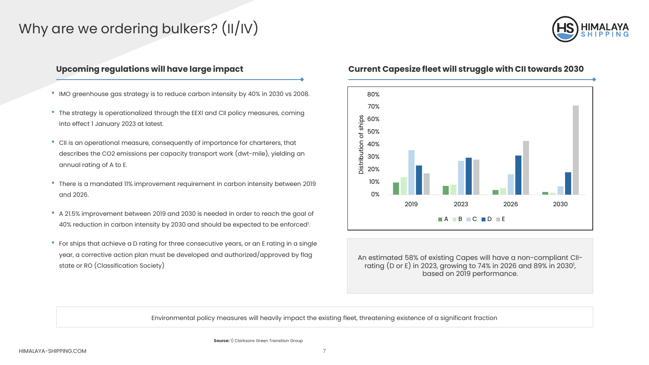# Why are we ordering bulkers? (II/IV)



- IMO greenhouse gas strategy is to reduce carbon intensity by 40% in 2030 vs 2008.
- The strategy is operationalized through the EEXI and CII policy measures, coming into effect 1 January 2023 at latest.
- CII is an operational measure, consequently of importance for charterers, that describes the CO2 emissions per capacity transport work (dwt-mile), yielding an annual rating of A to E.
- There is a mandated 11% improvement requirement in carbon intensity between 2019 and 2026.
- A 21.5% improvement between 2019 and 2030 is needed in order to reach the goal of 40% reduction in carbon intensity by 2030 and should be expected to be enforced<sup>1</sup>.
- For ships that achieve a D rating for three consecutive years, or an E rating in a single year, a corrective action plan must be developed and authorized/approved by flag state or RO (Classification Society)

### **Upcoming regulations will have large impact Current Capesize fleet will struggle with CII towards 2030**



An estimated 58% of existing Capes will have a non-compliant CIIrating (D or E) in 2023, growing to 74% in 2026 and 89% in 2030<sup>1</sup>, based on 2019 performance.

Environmental policy measures will heavily impact the existing fleet, threatening existence of a significant fraction

**Source:** 1) Clarksons Green Transition Group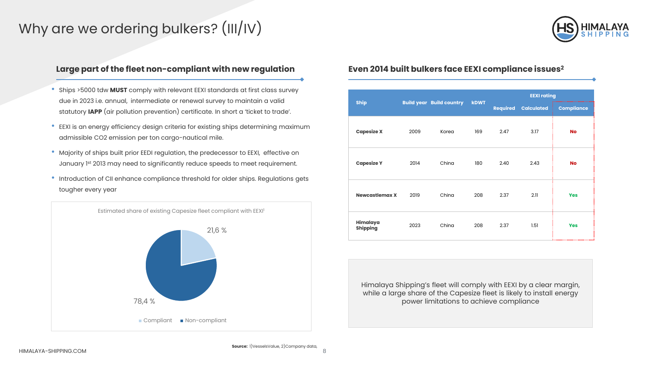# Why are we ordering bulkers? (III/IV)



### **Large part of the fleet non-compliant with new regulation Even 2014 built bulkers face EEXI compliance issues2**

- Ships >5000 tdw **MUST** comply with relevant EEXI standards at first class survey due in 2023 i.e. annual, intermediate or renewal survey to maintain a valid statutory **IAPP** (air pollution prevention) certificate. In short a 'ticket to trade'.
- EEXI is an energy efficiency design criteria for existing ships determining maximum admissible CO2 emission per ton cargo-nautical mile.
- Majority of ships built prior EEDI regulation, the predecessor to EEXI, effective on January 1st 2013 may need to significantly reduce speeds to meet requirement.
- Introduction of CII enhance compliance threshold for older ships. Regulations gets tougher every year



|                             | <b>Build year Build country</b> |       | <b>kDWT</b> | <b>EEXI rating</b> |                            |                   |
|-----------------------------|---------------------------------|-------|-------------|--------------------|----------------------------|-------------------|
| <b>Ship</b>                 |                                 |       |             |                    | <b>Required Calculated</b> | <b>Compliance</b> |
| <b>Capesize X</b>           | 2009                            | Korea | 169         | 2.47               | 3.17                       | <b>No</b>         |
| <b>Capesize Y</b>           | 2014                            | China | 180         | 2.40               | 2.43                       | <b>No</b>         |
| <b>Newcastlemax X</b>       | 2019                            | China | 208         | 2.37               | 2.11                       | <b>Yes</b>        |
| Himalaya<br><b>Shipping</b> | 2023                            | China | 208         | 2.37               | 1.51                       | <b>Yes</b><br>    |

Himalaya Shipping's fleet will comply with EEXI by a clear margin, while a large share of the Capesize fleet is likely to install energy power limitations to achieve compliance

**Source:** 1)VesselsValue, 2)Company data,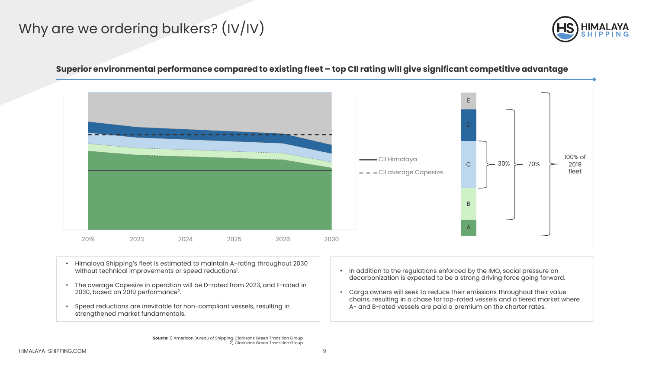# Why are we ordering bulkers? (IV/IV)



## 2019 2023 2024 2025 2026 2030 CII Himalaya - - CII average Capesize E A B C 100% of 2019 fleet  $30\%$   $\smile$  70%

### **Superior environmental performance compared to existing fleet – top CII rating will give significant competitive advantage**

- Himalaya Shipping's fleet is estimated to maintain A-rating throughout 2030 without technical improvements or speed reductions<sup>1</sup>.
- The average Capesize in operation will be D-rated from 2023, and E-rated in 2030, based on 2019 performance2.
- Speed reductions are inevitable for non-compliant vessels, resulting in strengthened market fundamentals.
- In addition to the regulations enforced by the IMO, social pressure on decarbonization is expected to be a strong driving force going forward.
- Cargo owners will seek to reduce their emissions throughout their value chains, resulting in a chase for top-rated vessels and a tiered market where A- and B-rated vessels are paid a premium on the charter rates.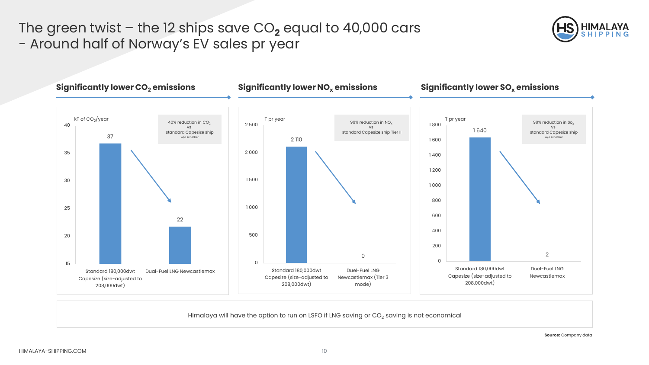# The green twist  $-$  the 12 ships save  $CO<sub>2</sub>$  equal to 40,000 cars - Around half of Norway's EV sales pr year





Himalaya will have the option to run on LSFO if LNG saving or CO<sub>2</sub> saving is not economical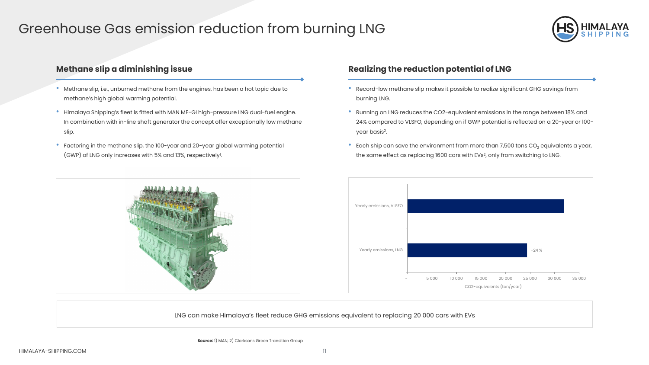## Greenhouse Gas emission reduction from burning LNG



### **Methane slip a diminishing issue the reduction of LNG**

- Methane slip, i.e., unburned methane from the engines, has been a hot topic due to methane's high global warming potential.
- Himalaya Shipping's fleet is fitted with MAN ME-GI high-pressure LNG dual-fuel engine. In combination with in-line shaft generator the concept offer exceptionally low methane slip.
- Factoring in the methane slip, the 100-year and 20-year global warming potential (GWP) of LNG only increases with 5% and 13%, respectively'.

- Record-low methane slip makes it possible to realize significant GHG savings from burning LNG.
- Running on LNG reduces the CO2-equivalent emissions in the range between 18% and 24% compared to VLSFO, depending on if GWP potential is reflected on a 20-year or 100 year basis2.
- Each ship can save the environment from more than 7,500 tons  $CO<sub>2</sub>$  equivalents a year, the same effect as replacing 1600 cars with EVs<sup>2</sup>, only from switching to LNG.



LNG can make Himalaya's fleet reduce GHG emissions equivalent to replacing 20 000 cars with EVs

**Source:** 1) MAN, 2) Clarksons Green Transition Group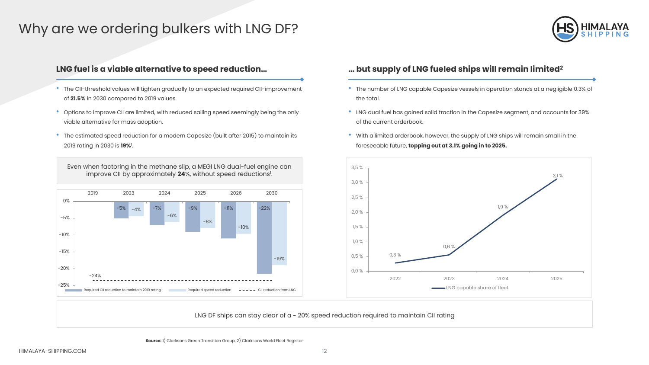## Why are we ordering bulkers with LNG DF?



- The CII-threshold values will tighten gradually to an expected required CII-improvement of **21.5%** in 2030 compared to 2019 values.
- Options to improve CII are limited, with reduced sailing speed seemingly being the only viable alternative for mass adoption.
- The estimated speed reduction for a modern Capesize (built after 2015) to maintain its 2019 rating in 2030 is **19%**<sup>1</sup> .

Even when factoring in the methane slip, a MEGI LNG dual-fuel engine can improve CII by approximately **24**%, without speed reductions<sup>1</sup>.



### **LNG fuel is a viable alternative to speed reduction… … but supply of LNG fueled ships will remain limited2**

- The number of LNG capable Capesize vessels in operation stands at a negligible 0.3% of the total.
- LNG dual fuel has gained solid traction in the Capesize segment, and accounts for 39% of the current orderbook.
- With a limited orderbook, however, the supply of LNG ships will remain small in the foreseeable future, **topping out at 3.1% going in to 2025.**



LNG DF ships can stay clear of a ~ 20% speed reduction required to maintain CII rating

**Source:** 1) Clarksons Green Transition Group, 2) Clarksons World Fleet Register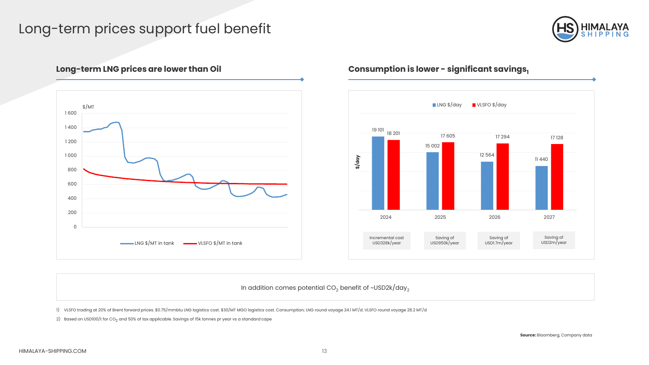# Long-term prices support fuel benefit





## Long-term LNG prices are lower than Oil **Consumption is lower -** significant savings<sub>1</sub>



In addition comes potential  $CO<sub>2</sub>$  benefit of ~USD2k/day<sub>2</sub>

1) VLSFO trading at 20% of Brent forward prices. \$0.75/mmbtu LNG logistics cost. \$30/MT MGO logistics cost. Consumption; LNG round voyage 24.1 MT/d. VLSFO round voyage 28.2 MT/d

2) Based on USD100/t for  $CO<sub>2</sub>$  and 50% of tax applicable. Savings of 15k tonnes pr year vs a standard cape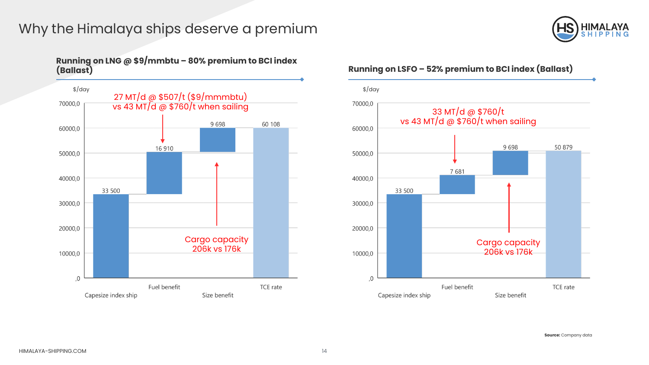# Why the Himalaya ships deserve a premium



# **Running on LNG @ \$9/mmbtu – 80% premium to BCI index**



### **(Ballast) Running on LSFO – 52% premium to BCI index (Ballast)**

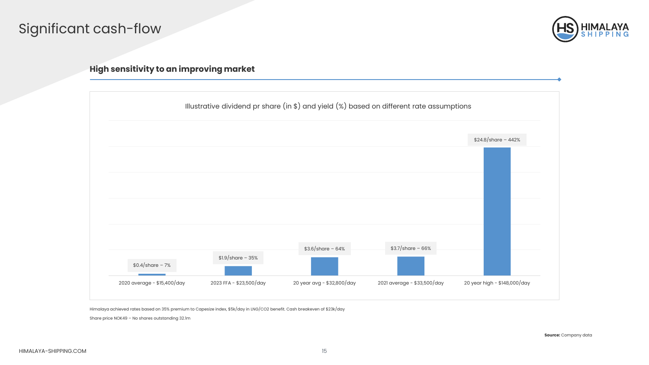# Significant cash-flow



### **High sensitivity to an improving market**



Himalaya achieved rates based on 35% premium to Capesize index, \$5k/day in LNG/CO2 benefit. Cash breakeven of \$23k/day

Share price NOK49 – No shares outstanding 32.1m